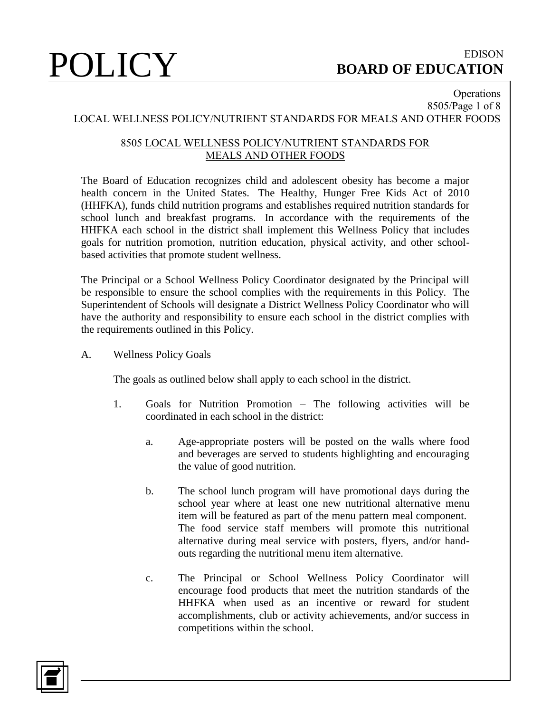### **Operations** 8505/Page 1 of 8 LOCAL WELLNESS POLICY/NUTRIENT STANDARDS FOR MEALS AND OTHER FOODS

## 8505 LOCAL WELLNESS POLICY/NUTRIENT STANDARDS FOR MEALS AND OTHER FOODS

The Board of Education recognizes child and adolescent obesity has become a major health concern in the United States. The Healthy, Hunger Free Kids Act of 2010 (HHFKA), funds child nutrition programs and establishes required nutrition standards for school lunch and breakfast programs. In accordance with the requirements of the HHFKA each school in the district shall implement this Wellness Policy that includes goals for nutrition promotion, nutrition education, physical activity, and other schoolbased activities that promote student wellness.

The Principal or a School Wellness Policy Coordinator designated by the Principal will be responsible to ensure the school complies with the requirements in this Policy. The Superintendent of Schools will designate a District Wellness Policy Coordinator who will have the authority and responsibility to ensure each school in the district complies with the requirements outlined in this Policy.

A. Wellness Policy Goals

The goals as outlined below shall apply to each school in the district.

- 1. Goals for Nutrition Promotion The following activities will be coordinated in each school in the district:
	- a. Age-appropriate posters will be posted on the walls where food and beverages are served to students highlighting and encouraging the value of good nutrition.
	- b. The school lunch program will have promotional days during the school year where at least one new nutritional alternative menu item will be featured as part of the menu pattern meal component. The food service staff members will promote this nutritional alternative during meal service with posters, flyers, and/or handouts regarding the nutritional menu item alternative.
	- c. The Principal or School Wellness Policy Coordinator will encourage food products that meet the nutrition standards of the HHFKA when used as an incentive or reward for student accomplishments, club or activity achievements, and/or success in competitions within the school.

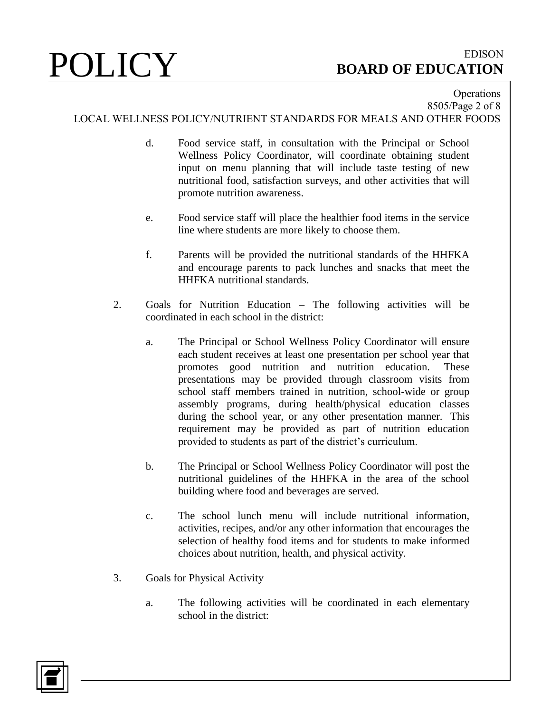### **Operations** 8505/Page 2 of 8

LOCAL WELLNESS POLICY/NUTRIENT STANDARDS FOR MEALS AND OTHER FOODS

- d. Food service staff, in consultation with the Principal or School Wellness Policy Coordinator, will coordinate obtaining student input on menu planning that will include taste testing of new nutritional food, satisfaction surveys, and other activities that will promote nutrition awareness.
- e. Food service staff will place the healthier food items in the service line where students are more likely to choose them.
- f. Parents will be provided the nutritional standards of the HHFKA and encourage parents to pack lunches and snacks that meet the HHFKA nutritional standards.
- 2. Goals for Nutrition Education The following activities will be coordinated in each school in the district:
	- a. The Principal or School Wellness Policy Coordinator will ensure each student receives at least one presentation per school year that promotes good nutrition and nutrition education. These presentations may be provided through classroom visits from school staff members trained in nutrition, school-wide or group assembly programs, during health/physical education classes during the school year, or any other presentation manner. This requirement may be provided as part of nutrition education provided to students as part of the district's curriculum.
	- b. The Principal or School Wellness Policy Coordinator will post the nutritional guidelines of the HHFKA in the area of the school building where food and beverages are served.
	- c. The school lunch menu will include nutritional information, activities, recipes, and/or any other information that encourages the selection of healthy food items and for students to make informed choices about nutrition, health, and physical activity.
- 3. Goals for Physical Activity
	- a. The following activities will be coordinated in each elementary school in the district:

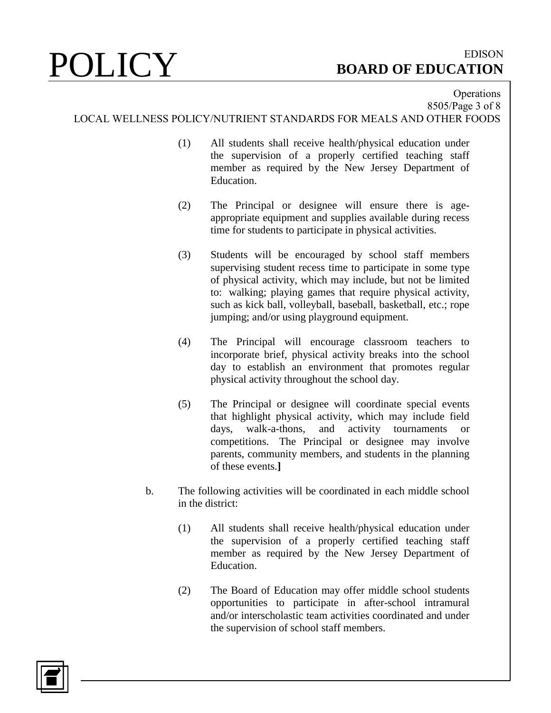## **Operations** 8505/Page 3 of 8 LOCAL WELLNESS POLICY/NUTRIENT STANDARDS FOR MEALS AND OTHER FOODS

- (1) All students shall receive health/physical education under the supervision of a properly certified teaching staff member as required by the New Jersey Department of Education.
- (2) The Principal or designee will ensure there is ageappropriate equipment and supplies available during recess time for students to participate in physical activities.
- (3) Students will be encouraged by school staff members supervising student recess time to participate in some type of physical activity, which may include, but not be limited to: walking; playing games that require physical activity, such as kick ball, volleyball, baseball, basketball, etc.; rope jumping; and/or using playground equipment.
- (4) The Principal will encourage classroom teachers to incorporate brief, physical activity breaks into the school day to establish an environment that promotes regular physical activity throughout the school day.
- (5) The Principal or designee will coordinate special events that highlight physical activity, which may include field days, walk-a-thons, and activity tournaments or competitions. The Principal or designee may involve parents, community members, and students in the planning of these events.**]**
- b. The following activities will be coordinated in each middle school in the district:
	- (1) All students shall receive health/physical education under the supervision of a properly certified teaching staff member as required by the New Jersey Department of Education.
	- (2) The Board of Education may offer middle school students opportunities to participate in after-school intramural and/or interscholastic team activities coordinated and under the supervision of school staff members.

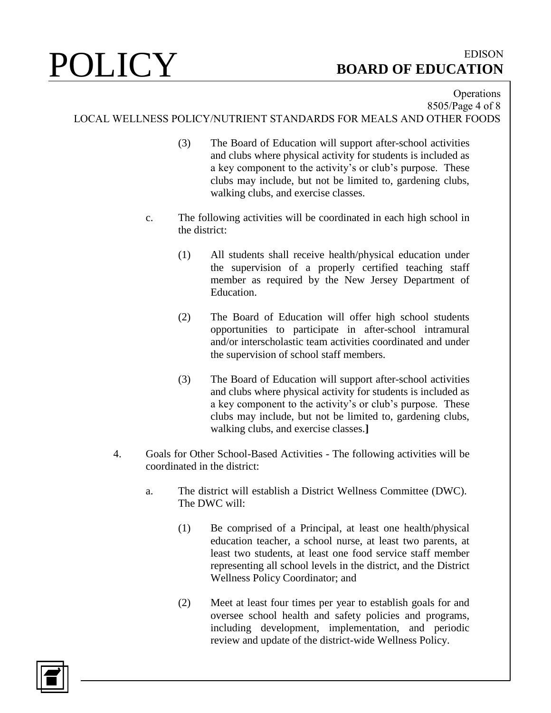## **Operations** 8505/Page 4 of 8 LOCAL WELLNESS POLICY/NUTRIENT STANDARDS FOR MEALS AND OTHER FOODS

- (3) The Board of Education will support after-school activities and clubs where physical activity for students is included as a key component to the activity's or club's purpose. These clubs may include, but not be limited to, gardening clubs, walking clubs, and exercise classes.
- c. The following activities will be coordinated in each high school in the district:
	- (1) All students shall receive health/physical education under the supervision of a properly certified teaching staff member as required by the New Jersey Department of Education.
	- (2) The Board of Education will offer high school students opportunities to participate in after-school intramural and/or interscholastic team activities coordinated and under the supervision of school staff members.
	- (3) The Board of Education will support after-school activities and clubs where physical activity for students is included as a key component to the activity's or club's purpose. These clubs may include, but not be limited to, gardening clubs, walking clubs, and exercise classes.**]**
- 4. Goals for Other School-Based Activities The following activities will be coordinated in the district:
	- a. The district will establish a District Wellness Committee (DWC). The DWC will:
		- (1) Be comprised of a Principal, at least one health/physical education teacher, a school nurse, at least two parents, at least two students, at least one food service staff member representing all school levels in the district, and the District Wellness Policy Coordinator; and
		- (2) Meet at least four times per year to establish goals for and oversee school health and safety policies and programs, including development, implementation, and periodic review and update of the district-wide Wellness Policy.

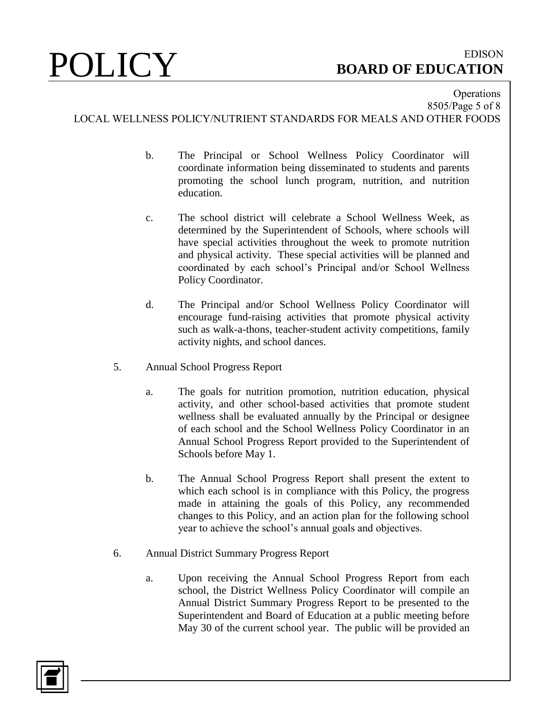**Operations** 8505/Page 5 of 8 LOCAL WELLNESS POLICY/NUTRIENT STANDARDS FOR MEALS AND OTHER FOODS

- b. The Principal or School Wellness Policy Coordinator will coordinate information being disseminated to students and parents promoting the school lunch program, nutrition, and nutrition education.
- c. The school district will celebrate a School Wellness Week, as determined by the Superintendent of Schools, where schools will have special activities throughout the week to promote nutrition and physical activity. These special activities will be planned and coordinated by each school's Principal and/or School Wellness Policy Coordinator.
- d. The Principal and/or School Wellness Policy Coordinator will encourage fund-raising activities that promote physical activity such as walk-a-thons, teacher-student activity competitions, family activity nights, and school dances.
- 5. Annual School Progress Report
	- a. The goals for nutrition promotion, nutrition education, physical activity, and other school-based activities that promote student wellness shall be evaluated annually by the Principal or designee of each school and the School Wellness Policy Coordinator in an Annual School Progress Report provided to the Superintendent of Schools before May 1.
	- b. The Annual School Progress Report shall present the extent to which each school is in compliance with this Policy, the progress made in attaining the goals of this Policy, any recommended changes to this Policy, and an action plan for the following school year to achieve the school's annual goals and objectives.
- 6. Annual District Summary Progress Report
	- a. Upon receiving the Annual School Progress Report from each school, the District Wellness Policy Coordinator will compile an Annual District Summary Progress Report to be presented to the Superintendent and Board of Education at a public meeting before May 30 of the current school year. The public will be provided an

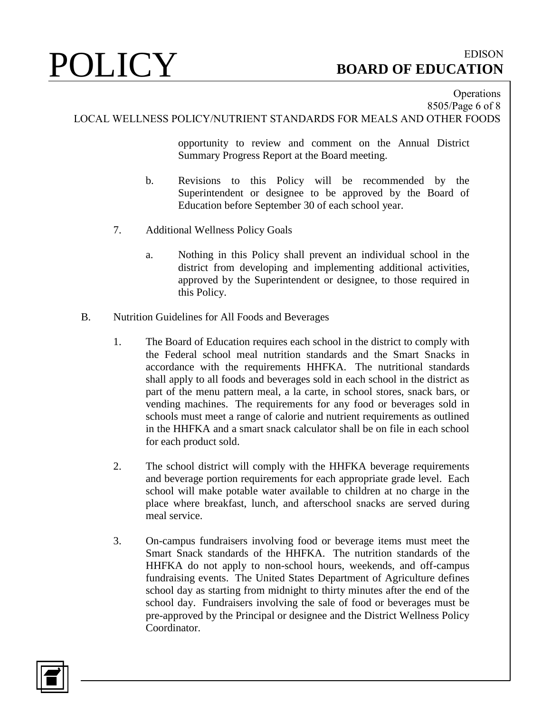**Operations** 8505/Page 6 of 8

LOCAL WELLNESS POLICY/NUTRIENT STANDARDS FOR MEALS AND OTHER FOODS

opportunity to review and comment on the Annual District Summary Progress Report at the Board meeting.

- b. Revisions to this Policy will be recommended by the Superintendent or designee to be approved by the Board of Education before September 30 of each school year.
- 7. Additional Wellness Policy Goals
	- a. Nothing in this Policy shall prevent an individual school in the district from developing and implementing additional activities, approved by the Superintendent or designee, to those required in this Policy.
- B. Nutrition Guidelines for All Foods and Beverages
	- 1. The Board of Education requires each school in the district to comply with the Federal school meal nutrition standards and the Smart Snacks in accordance with the requirements HHFKA. The nutritional standards shall apply to all foods and beverages sold in each school in the district as part of the menu pattern meal, a la carte, in school stores, snack bars, or vending machines. The requirements for any food or beverages sold in schools must meet a range of calorie and nutrient requirements as outlined in the HHFKA and a smart snack calculator shall be on file in each school for each product sold.
	- 2. The school district will comply with the HHFKA beverage requirements and beverage portion requirements for each appropriate grade level. Each school will make potable water available to children at no charge in the place where breakfast, lunch, and afterschool snacks are served during meal service.
	- 3. On-campus fundraisers involving food or beverage items must meet the Smart Snack standards of the HHFKA. The nutrition standards of the HHFKA do not apply to non-school hours, weekends, and off-campus fundraising events. The United States Department of Agriculture defines school day as starting from midnight to thirty minutes after the end of the school day. Fundraisers involving the sale of food or beverages must be pre-approved by the Principal or designee and the District Wellness Policy Coordinator.

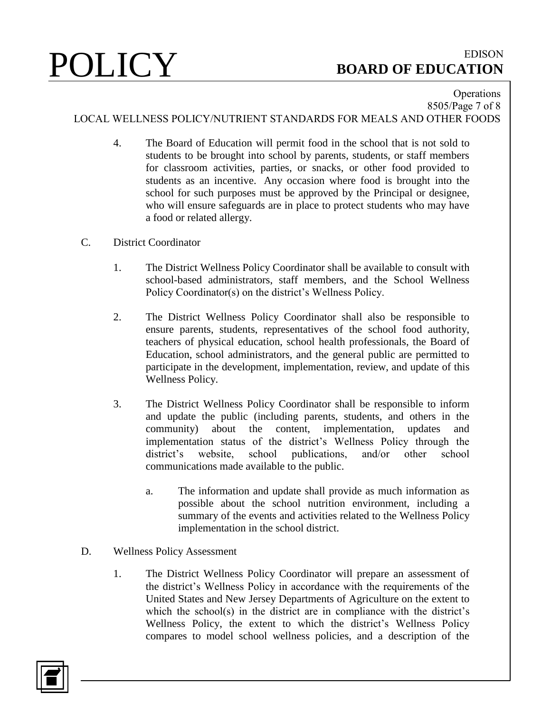### **Operations** 8505/Page 7 of 8

LOCAL WELLNESS POLICY/NUTRIENT STANDARDS FOR MEALS AND OTHER FOODS

- 4. The Board of Education will permit food in the school that is not sold to students to be brought into school by parents, students, or staff members for classroom activities, parties, or snacks, or other food provided to students as an incentive. Any occasion where food is brought into the school for such purposes must be approved by the Principal or designee, who will ensure safeguards are in place to protect students who may have a food or related allergy.
- C. District Coordinator
	- 1. The District Wellness Policy Coordinator shall be available to consult with school-based administrators, staff members, and the School Wellness Policy Coordinator(s) on the district's Wellness Policy.
	- 2. The District Wellness Policy Coordinator shall also be responsible to ensure parents, students, representatives of the school food authority, teachers of physical education, school health professionals, the Board of Education, school administrators, and the general public are permitted to participate in the development, implementation, review, and update of this Wellness Policy.
	- 3. The District Wellness Policy Coordinator shall be responsible to inform and update the public (including parents, students, and others in the community) about the content, implementation, updates and implementation status of the district's Wellness Policy through the district's website, school publications, and/or other school communications made available to the public.
		- a. The information and update shall provide as much information as possible about the school nutrition environment, including a summary of the events and activities related to the Wellness Policy implementation in the school district.
- D. Wellness Policy Assessment
	- 1. The District Wellness Policy Coordinator will prepare an assessment of the district's Wellness Policy in accordance with the requirements of the United States and New Jersey Departments of Agriculture on the extent to which the school(s) in the district are in compliance with the district's Wellness Policy, the extent to which the district's Wellness Policy compares to model school wellness policies, and a description of the